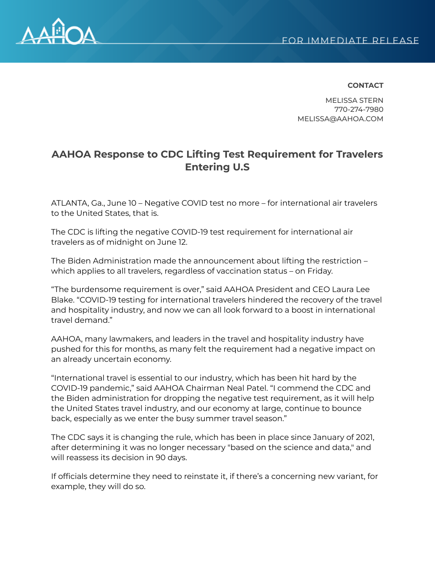

## **CONTACT**

MELISSA STERN 770-274-7980 MELISSA@AAHOA.COM

## **AAHOA Response to CDC Lifting Test Requirement for Travelers Entering U.S**

ATLANTA, Ga., June 10 – Negative COVID test no more – for international air travelers to the United States, that is.

The CDC is lifting the negative COVID-19 test requirement for international air travelers as of midnight on June 12.

The Biden Administration made the announcement about lifting the restriction – which applies to all travelers, regardless of vaccination status – on Friday.

"The burdensome requirement is over," said AAHOA President and CEO Laura Lee Blake. "COVID-19 testing for international travelers hindered the recovery of the travel and hospitality industry, and now we can all look forward to a boost in international travel demand."

AAHOA, many lawmakers, and leaders in the travel and hospitality industry have pushed for this for months, as many felt the requirement had a negative impact on an already uncertain economy.

"International travel is essential to our industry, which has been hit hard by the COVID-19 pandemic," said AAHOA Chairman Neal Patel. "I commend the CDC and the Biden administration for dropping the negative test requirement, as it will help the United States travel industry, and our economy at large, continue to bounce back, especially as we enter the busy summer travel season."

The CDC says it is changing the rule, which has been in place since January of 2021, after determining it was no longer necessary "based on the science and data," and will reassess its decision in 90 days.

If officials determine they need to reinstate it, if there's a concerning new variant, for example, they will do so.